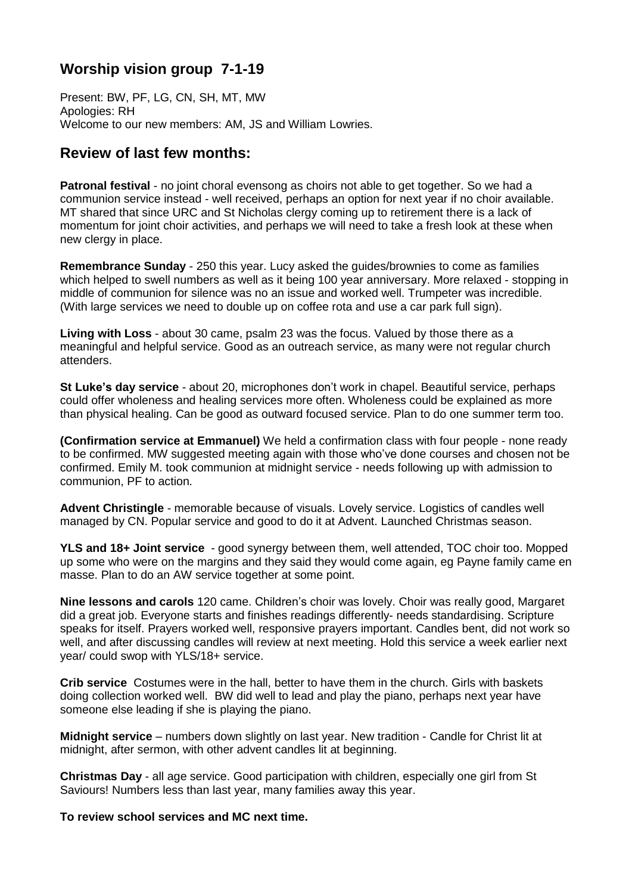# **Worship vision group 7-1-19**

Present: BW, PF, LG, CN, SH, MT, MW Apologies: RH Welcome to our new members: AM, JS and William Lowries.

# **Review of last few months:**

**Patronal festival** - no joint choral evensong as choirs not able to get together. So we had a communion service instead - well received, perhaps an option for next year if no choir available. MT shared that since URC and St Nicholas clergy coming up to retirement there is a lack of momentum for joint choir activities, and perhaps we will need to take a fresh look at these when new clergy in place.

**Remembrance Sunday** - 250 this year. Lucy asked the guides/brownies to come as families which helped to swell numbers as well as it being 100 year anniversary. More relaxed - stopping in middle of communion for silence was no an issue and worked well. Trumpeter was incredible. (With large services we need to double up on coffee rota and use a car park full sign).

**Living with Loss** - about 30 came, psalm 23 was the focus. Valued by those there as a meaningful and helpful service. Good as an outreach service, as many were not regular church attenders.

**St Luke's day service** - about 20, microphones don't work in chapel. Beautiful service, perhaps could offer wholeness and healing services more often. Wholeness could be explained as more than physical healing. Can be good as outward focused service. Plan to do one summer term too.

**(Confirmation service at Emmanuel)** We held a confirmation class with four people - none ready to be confirmed. MW suggested meeting again with those who've done courses and chosen not be confirmed. Emily M. took communion at midnight service - needs following up with admission to communion, PF to action.

**Advent Christingle** - memorable because of visuals. Lovely service. Logistics of candles well managed by CN. Popular service and good to do it at Advent. Launched Christmas season.

**YLS and 18+ Joint service** - good synergy between them, well attended, TOC choir too. Mopped up some who were on the margins and they said they would come again, eg Payne family came en masse. Plan to do an AW service together at some point.

**Nine lessons and carols** 120 came. Children's choir was lovely. Choir was really good, Margaret did a great job. Everyone starts and finishes readings differently- needs standardising. Scripture speaks for itself. Prayers worked well, responsive prayers important. Candles bent, did not work so well, and after discussing candles will review at next meeting. Hold this service a week earlier next year/ could swop with YLS/18+ service.

**Crib service** Costumes were in the hall, better to have them in the church. Girls with baskets doing collection worked well. BW did well to lead and play the piano, perhaps next year have someone else leading if she is playing the piano.

**Midnight service** – numbers down slightly on last year. New tradition - Candle for Christ lit at midnight, after sermon, with other advent candles lit at beginning.

**Christmas Day** - all age service. Good participation with children, especially one girl from St Saviours! Numbers less than last year, many families away this year.

**To review school services and MC next time.**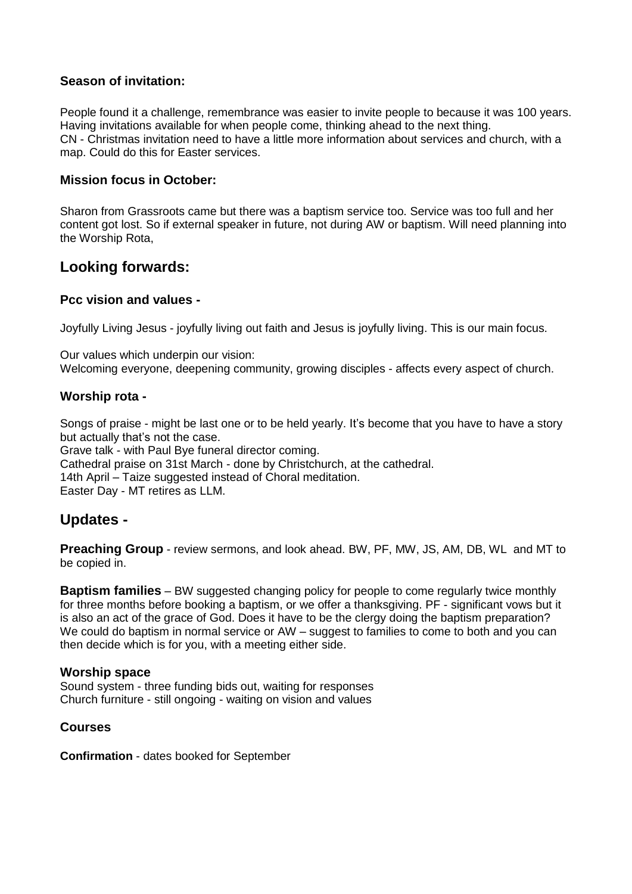# **Season of invitation:**

People found it a challenge, remembrance was easier to invite people to because it was 100 years. Having invitations available for when people come, thinking ahead to the next thing. CN - Christmas invitation need to have a little more information about services and church, with a map. Could do this for Easter services.

# **Mission focus in October:**

Sharon from Grassroots came but there was a baptism service too. Service was too full and her content got lost. So if external speaker in future, not during AW or baptism. Will need planning into the Worship Rota,

# **Looking forwards:**

## **Pcc vision and values -**

Joyfully Living Jesus - joyfully living out faith and Jesus is joyfully living. This is our main focus.

Our values which underpin our vision: Welcoming everyone, deepening community, growing disciples - affects every aspect of church.

## **Worship rota -**

Songs of praise - might be last one or to be held yearly. It's become that you have to have a story but actually that's not the case.

Grave talk - with Paul Bye funeral director coming.

Cathedral praise on 31st March - done by Christchurch, at the cathedral.

14th April – Taize suggested instead of Choral meditation.

Easter Day - MT retires as LLM.

# **Updates -**

**Preaching Group** - review sermons, and look ahead. BW, PF, MW, JS, AM, DB, WL and MT to be copied in.

**Baptism families** – BW suggested changing policy for people to come regularly twice monthly for three months before booking a baptism, or we offer a thanksgiving. PF - significant vows but it is also an act of the grace of God. Does it have to be the clergy doing the baptism preparation? We could do baptism in normal service or AW – suggest to families to come to both and you can then decide which is for you, with a meeting either side.

#### **Worship space**

Sound system - three funding bids out, waiting for responses Church furniture - still ongoing - waiting on vision and values

#### **Courses**

**Confirmation** - dates booked for September